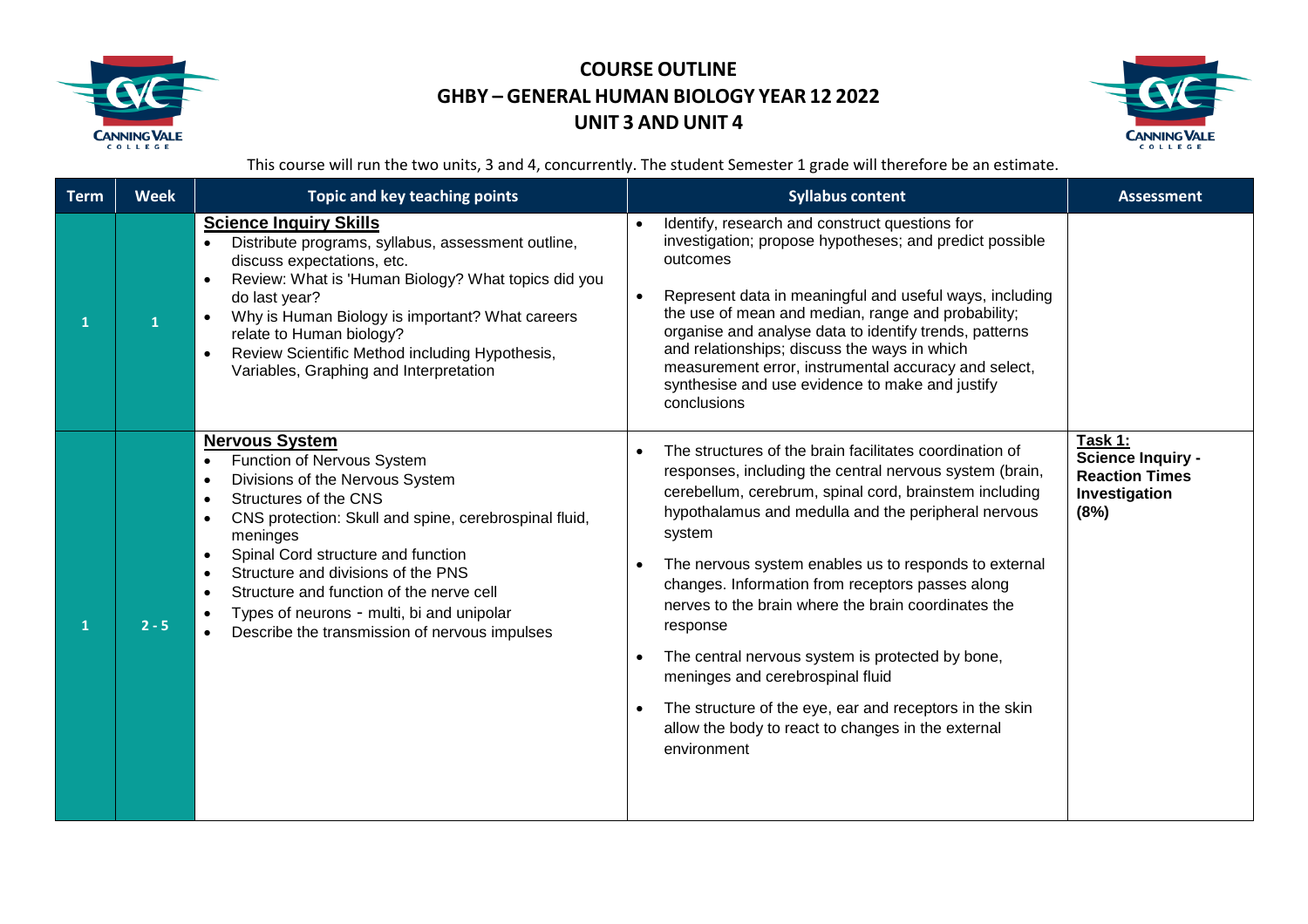



This course will run the two units, 3 and 4, concurrently. The student Semester 1 grade will therefore be an estimate.

| <b>Term</b> | <b>Week</b> | <b>Topic and key teaching points</b>                                                                                                                                                                                                                                                                                                                                                                                                                                                                  | <b>Syllabus content</b>                                                                                                                                                                                                                                                                                                                                                                                                                                                                                                                                                                                                                                                                      | <b>Assessment</b>                                                                     |
|-------------|-------------|-------------------------------------------------------------------------------------------------------------------------------------------------------------------------------------------------------------------------------------------------------------------------------------------------------------------------------------------------------------------------------------------------------------------------------------------------------------------------------------------------------|----------------------------------------------------------------------------------------------------------------------------------------------------------------------------------------------------------------------------------------------------------------------------------------------------------------------------------------------------------------------------------------------------------------------------------------------------------------------------------------------------------------------------------------------------------------------------------------------------------------------------------------------------------------------------------------------|---------------------------------------------------------------------------------------|
|             |             | <b>Science Inquiry Skills</b><br>Distribute programs, syllabus, assessment outline,<br>discuss expectations, etc.<br>Review: What is 'Human Biology? What topics did you<br>$\bullet$<br>do last year?<br>Why is Human Biology is important? What careers<br>relate to Human biology?<br>Review Scientific Method including Hypothesis,<br>$\bullet$<br>Variables, Graphing and Interpretation                                                                                                        | Identify, research and construct questions for<br>$\bullet$<br>investigation; propose hypotheses; and predict possible<br>outcomes<br>Represent data in meaningful and useful ways, including<br>$\bullet$<br>the use of mean and median, range and probability;<br>organise and analyse data to identify trends, patterns<br>and relationships; discuss the ways in which<br>measurement error, instrumental accuracy and select,<br>synthesise and use evidence to make and justify<br>conclusions                                                                                                                                                                                         |                                                                                       |
|             | $2 - 5$     | <b>Nervous System</b><br>Function of Nervous System<br>$\bullet$<br>Divisions of the Nervous System<br>$\bullet$<br>Structures of the CNS<br>$\bullet$<br>CNS protection: Skull and spine, cerebrospinal fluid,<br>$\bullet$<br>meninges<br>Spinal Cord structure and function<br>$\bullet$<br>Structure and divisions of the PNS<br>$\bullet$<br>Structure and function of the nerve cell<br>$\bullet$<br>Types of neurons - multi, bi and unipolar<br>Describe the transmission of nervous impulses | The structures of the brain facilitates coordination of<br>responses, including the central nervous system (brain,<br>cerebellum, cerebrum, spinal cord, brainstem including<br>hypothalamus and medulla and the peripheral nervous<br>system<br>The nervous system enables us to responds to external<br>$\bullet$<br>changes. Information from receptors passes along<br>nerves to the brain where the brain coordinates the<br>response<br>The central nervous system is protected by bone,<br>$\bullet$<br>meninges and cerebrospinal fluid<br>The structure of the eye, ear and receptors in the skin<br>$\bullet$<br>allow the body to react to changes in the external<br>environment | Task 1:<br><b>Science Inquiry -</b><br><b>Reaction Times</b><br>Investigation<br>(8%) |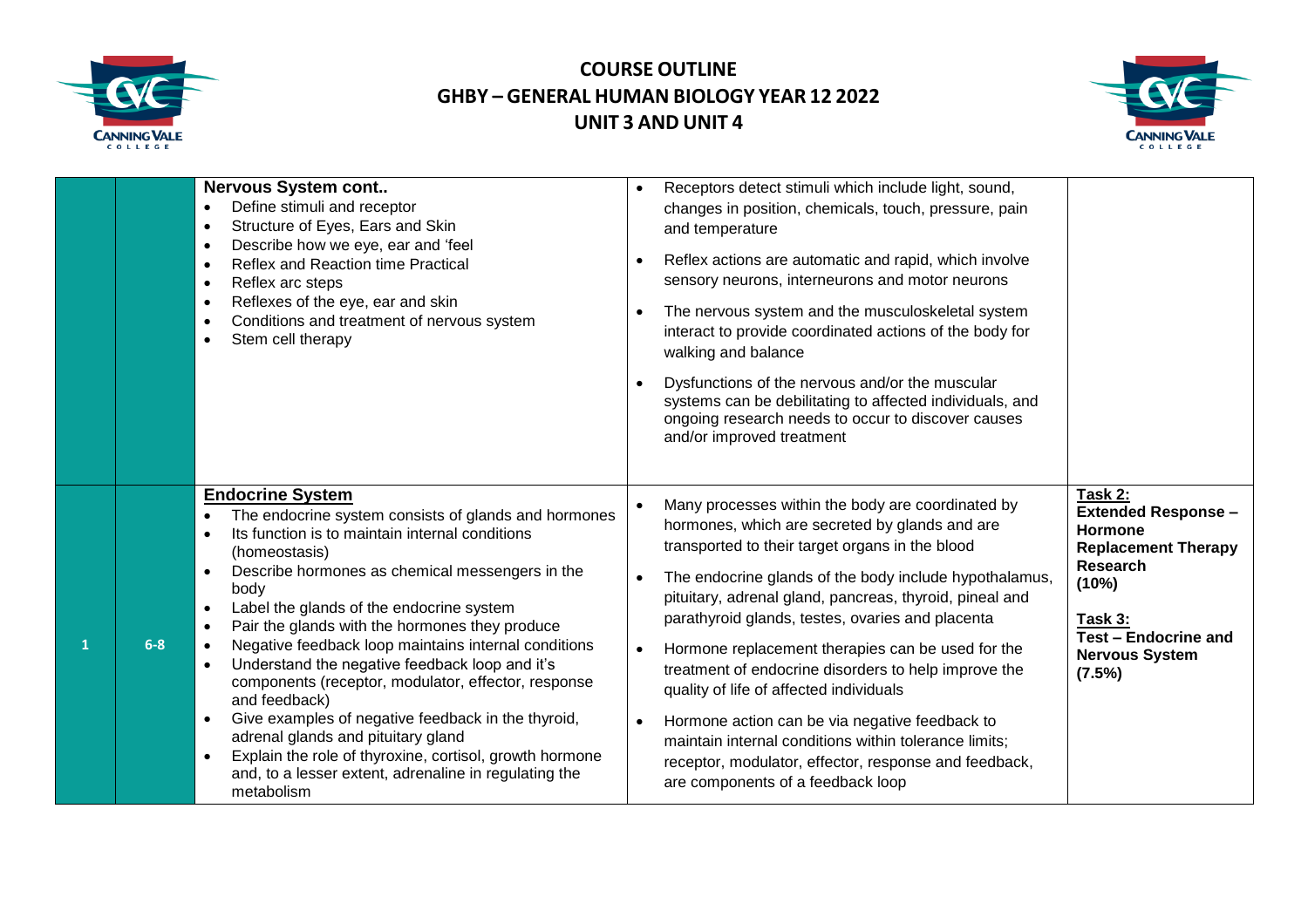



|                       | <b>Nervous System cont</b><br>Define stimuli and receptor<br>$\bullet$<br>Structure of Eyes, Ears and Skin<br>$\bullet$<br>Describe how we eye, ear and 'feel<br>$\bullet$<br>Reflex and Reaction time Practical<br>$\bullet$<br>Reflex arc steps<br>$\bullet$<br>Reflexes of the eye, ear and skin<br>$\bullet$<br>Conditions and treatment of nervous system<br>$\bullet$<br>Stem cell therapy                                                                                                                                                                                                                                                                                                                                                                                                                                     | Receptors detect stimuli which include light, sound,<br>changes in position, chemicals, touch, pressure, pain<br>and temperature<br>Reflex actions are automatic and rapid, which involve<br>$\bullet$<br>sensory neurons, interneurons and motor neurons<br>The nervous system and the musculoskeletal system<br>$\bullet$<br>interact to provide coordinated actions of the body for<br>walking and balance<br>Dysfunctions of the nervous and/or the muscular<br>systems can be debilitating to affected individuals, and<br>ongoing research needs to occur to discover causes<br>and/or improved treatment                                                                                                            | Task 2:                                                                                                                                                                      |
|-----------------------|--------------------------------------------------------------------------------------------------------------------------------------------------------------------------------------------------------------------------------------------------------------------------------------------------------------------------------------------------------------------------------------------------------------------------------------------------------------------------------------------------------------------------------------------------------------------------------------------------------------------------------------------------------------------------------------------------------------------------------------------------------------------------------------------------------------------------------------|----------------------------------------------------------------------------------------------------------------------------------------------------------------------------------------------------------------------------------------------------------------------------------------------------------------------------------------------------------------------------------------------------------------------------------------------------------------------------------------------------------------------------------------------------------------------------------------------------------------------------------------------------------------------------------------------------------------------------|------------------------------------------------------------------------------------------------------------------------------------------------------------------------------|
| $6-8$<br>$\mathbf{1}$ | <b>Endocrine System</b><br>The endocrine system consists of glands and hormones<br>Its function is to maintain internal conditions<br>$\bullet$<br>(homeostasis)<br>Describe hormones as chemical messengers in the<br>$\bullet$<br>body<br>Label the glands of the endocrine system<br>$\bullet$<br>Pair the glands with the hormones they produce<br>$\bullet$<br>Negative feedback loop maintains internal conditions<br>$\bullet$<br>Understand the negative feedback loop and it's<br>$\bullet$<br>components (receptor, modulator, effector, response<br>and feedback)<br>Give examples of negative feedback in the thyroid,<br>$\bullet$<br>adrenal glands and pituitary gland<br>Explain the role of thyroxine, cortisol, growth hormone<br>$\bullet$<br>and, to a lesser extent, adrenaline in regulating the<br>metabolism | Many processes within the body are coordinated by<br>hormones, which are secreted by glands and are<br>transported to their target organs in the blood<br>The endocrine glands of the body include hypothalamus,<br>pituitary, adrenal gland, pancreas, thyroid, pineal and<br>parathyroid glands, testes, ovaries and placenta<br>Hormone replacement therapies can be used for the<br>$\bullet$<br>treatment of endocrine disorders to help improve the<br>quality of life of affected individuals<br>Hormone action can be via negative feedback to<br>$\bullet$<br>maintain internal conditions within tolerance limits;<br>receptor, modulator, effector, response and feedback,<br>are components of a feedback loop | <b>Extended Response -</b><br>Hormone<br><b>Replacement Therapy</b><br><b>Research</b><br>(10%)<br>Task 3:<br><b>Test - Endocrine and</b><br><b>Nervous System</b><br>(7.5%) |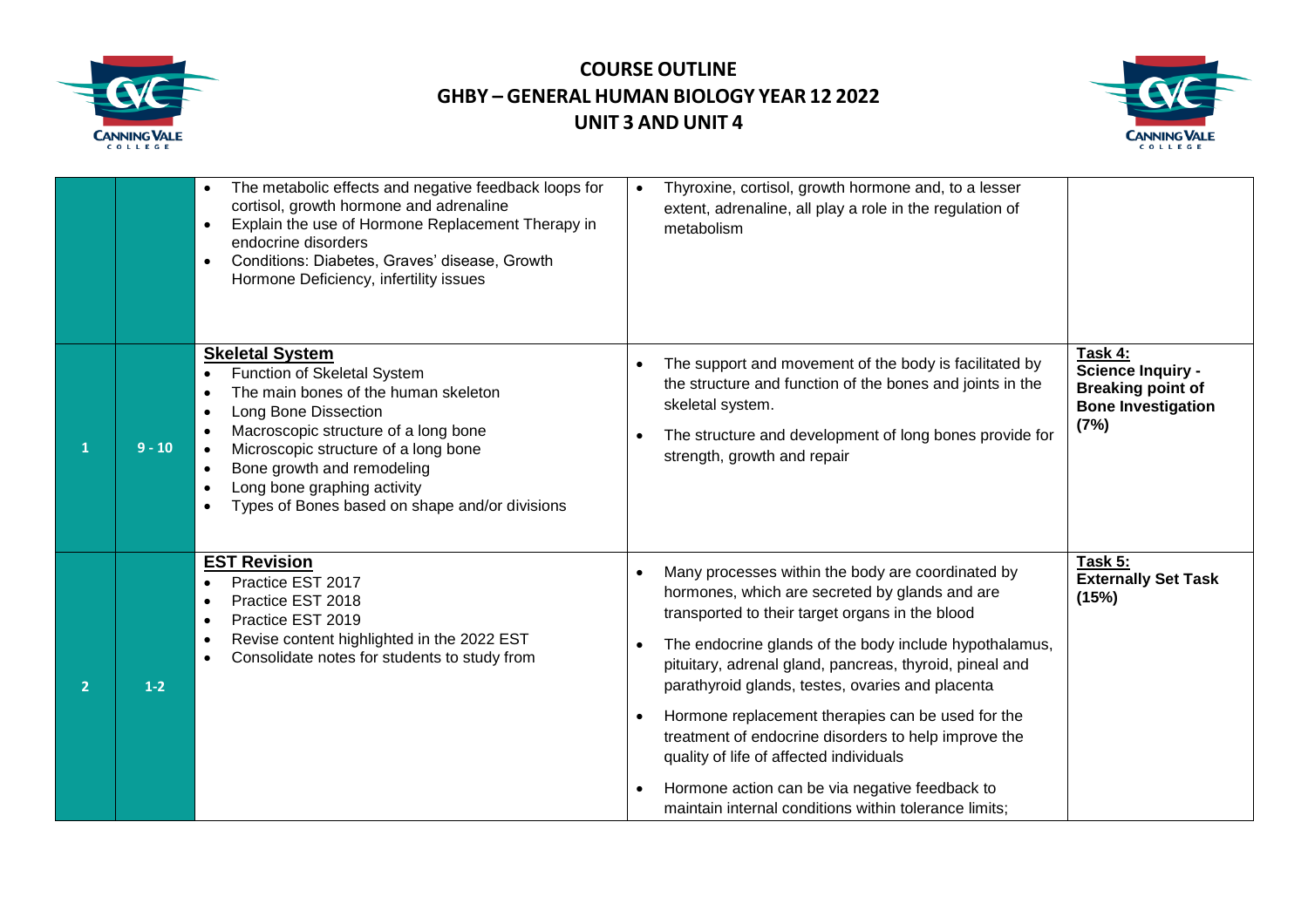



|                |          | The metabolic effects and negative feedback loops for<br>$\bullet$<br>cortisol, growth hormone and adrenaline<br>Explain the use of Hormone Replacement Therapy in<br>$\bullet$<br>endocrine disorders<br>Conditions: Diabetes, Graves' disease, Growth<br>$\bullet$<br>Hormone Deficiency, infertility issues                    | Thyroxine, cortisol, growth hormone and, to a lesser<br>$\bullet$<br>extent, adrenaline, all play a role in the regulation of<br>metabolism                                                                                                                                                                                                                                                                                                                                                                                                                                                        |                                                                                                      |
|----------------|----------|-----------------------------------------------------------------------------------------------------------------------------------------------------------------------------------------------------------------------------------------------------------------------------------------------------------------------------------|----------------------------------------------------------------------------------------------------------------------------------------------------------------------------------------------------------------------------------------------------------------------------------------------------------------------------------------------------------------------------------------------------------------------------------------------------------------------------------------------------------------------------------------------------------------------------------------------------|------------------------------------------------------------------------------------------------------|
|                | $9 - 10$ | <b>Skeletal System</b><br>Function of Skeletal System<br>The main bones of the human skeleton<br>Long Bone Dissection<br>$\bullet$<br>Macroscopic structure of a long bone<br>Microscopic structure of a long bone<br>Bone growth and remodeling<br>Long bone graphing activity<br>Types of Bones based on shape and/or divisions | The support and movement of the body is facilitated by<br>the structure and function of the bones and joints in the<br>skeletal system.<br>The structure and development of long bones provide for<br>strength, growth and repair                                                                                                                                                                                                                                                                                                                                                                  | Task 4:<br><b>Science Inquiry -</b><br><b>Breaking point of</b><br><b>Bone Investigation</b><br>(7%) |
| $\overline{2}$ | $1-2$    | <b>EST Revision</b><br>Practice EST 2017<br>Practice EST 2018<br>$\bullet$<br>Practice EST 2019<br>$\bullet$<br>Revise content highlighted in the 2022 EST<br>Consolidate notes for students to study from                                                                                                                        | Many processes within the body are coordinated by<br>hormones, which are secreted by glands and are<br>transported to their target organs in the blood<br>The endocrine glands of the body include hypothalamus,<br>pituitary, adrenal gland, pancreas, thyroid, pineal and<br>parathyroid glands, testes, ovaries and placenta<br>Hormone replacement therapies can be used for the<br>treatment of endocrine disorders to help improve the<br>quality of life of affected individuals<br>Hormone action can be via negative feedback to<br>maintain internal conditions within tolerance limits; | Task 5:<br><b>Externally Set Task</b><br>(15%)                                                       |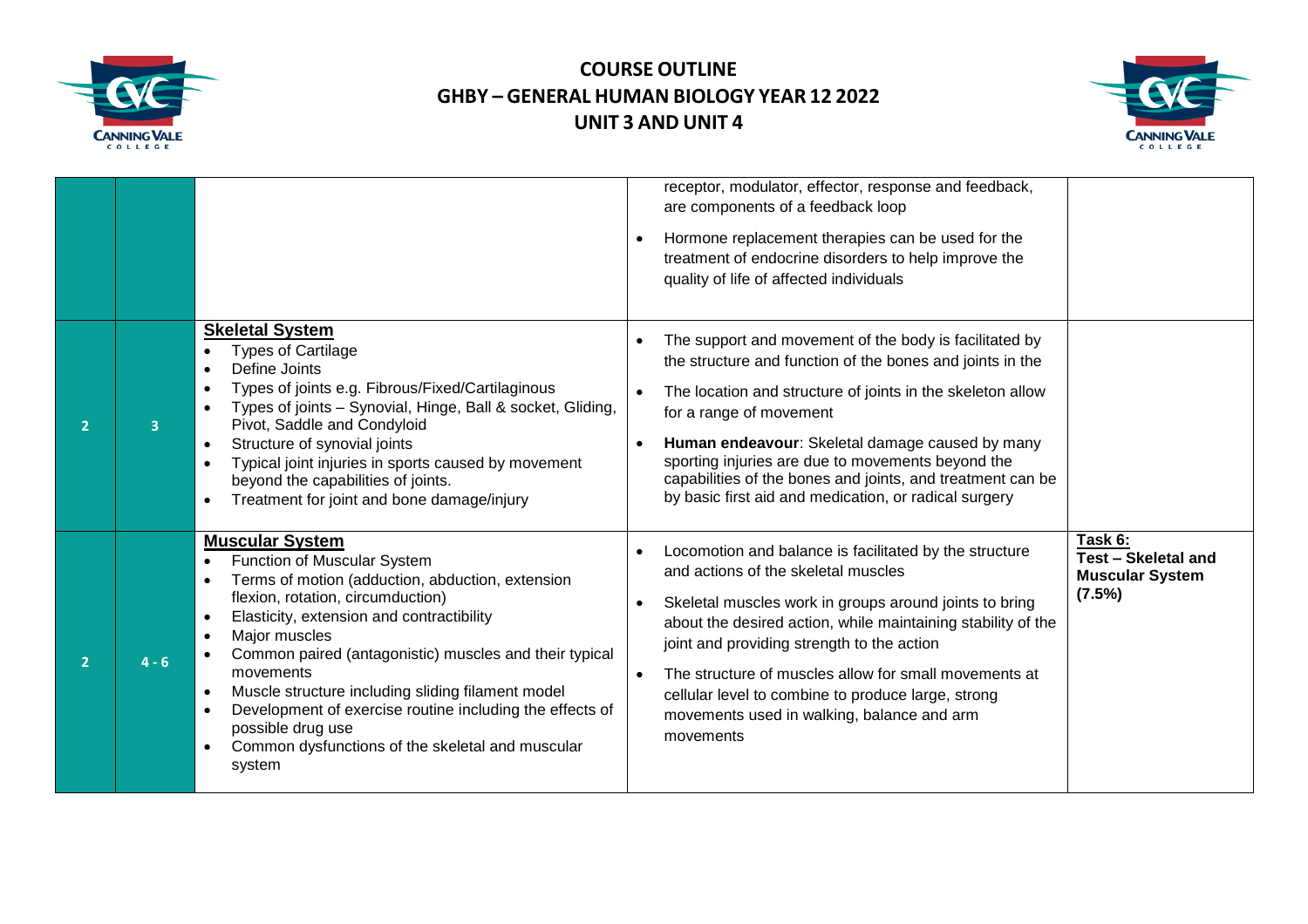



|                |         |                                                                                                                                                                                                                                                                                                                                                                                                                                                                                                                                                                       | receptor, modulator, effector, response and feedback,<br>are components of a feedback loop<br>Hormone replacement therapies can be used for the<br>treatment of endocrine disorders to help improve the<br>quality of life of affected individuals                                                                                                                                                                                                                                 |                                                                    |
|----------------|---------|-----------------------------------------------------------------------------------------------------------------------------------------------------------------------------------------------------------------------------------------------------------------------------------------------------------------------------------------------------------------------------------------------------------------------------------------------------------------------------------------------------------------------------------------------------------------------|------------------------------------------------------------------------------------------------------------------------------------------------------------------------------------------------------------------------------------------------------------------------------------------------------------------------------------------------------------------------------------------------------------------------------------------------------------------------------------|--------------------------------------------------------------------|
|                |         | <b>Skeletal System</b><br><b>Types of Cartilage</b><br>$\bullet$<br>Define Joints<br>$\bullet$<br>Types of joints e.g. Fibrous/Fixed/Cartilaginous<br>$\bullet$<br>Types of joints - Synovial, Hinge, Ball & socket, Gliding,<br>Pivot, Saddle and Condyloid<br>Structure of synovial joints<br>$\bullet$<br>Typical joint injuries in sports caused by movement<br>beyond the capabilities of joints.<br>Treatment for joint and bone damage/injury<br>$\bullet$                                                                                                     | The support and movement of the body is facilitated by<br>$\bullet$<br>the structure and function of the bones and joints in the<br>The location and structure of joints in the skeleton allow<br>$\bullet$<br>for a range of movement<br>Human endeavour: Skeletal damage caused by many<br>$\bullet$<br>sporting injuries are due to movements beyond the<br>capabilities of the bones and joints, and treatment can be<br>by basic first aid and medication, or radical surgery |                                                                    |
| $\overline{2}$ | $4 - 6$ | <b>Muscular System</b><br>Function of Muscular System<br>$\bullet$<br>Terms of motion (adduction, abduction, extension<br>flexion, rotation, circumduction)<br>Elasticity, extension and contractibility<br>$\bullet$<br>Major muscles<br>$\bullet$<br>Common paired (antagonistic) muscles and their typical<br>movements<br>Muscle structure including sliding filament model<br>$\bullet$<br>Development of exercise routine including the effects of<br>$\bullet$<br>possible drug use<br>Common dysfunctions of the skeletal and muscular<br>$\bullet$<br>system | Locomotion and balance is facilitated by the structure<br>$\bullet$<br>and actions of the skeletal muscles<br>Skeletal muscles work in groups around joints to bring<br>about the desired action, while maintaining stability of the<br>joint and providing strength to the action<br>The structure of muscles allow for small movements at<br>$\bullet$<br>cellular level to combine to produce large, strong<br>movements used in walking, balance and arm<br>movements          | Task 6:<br>Test - Skeletal and<br><b>Muscular System</b><br>(7.5%) |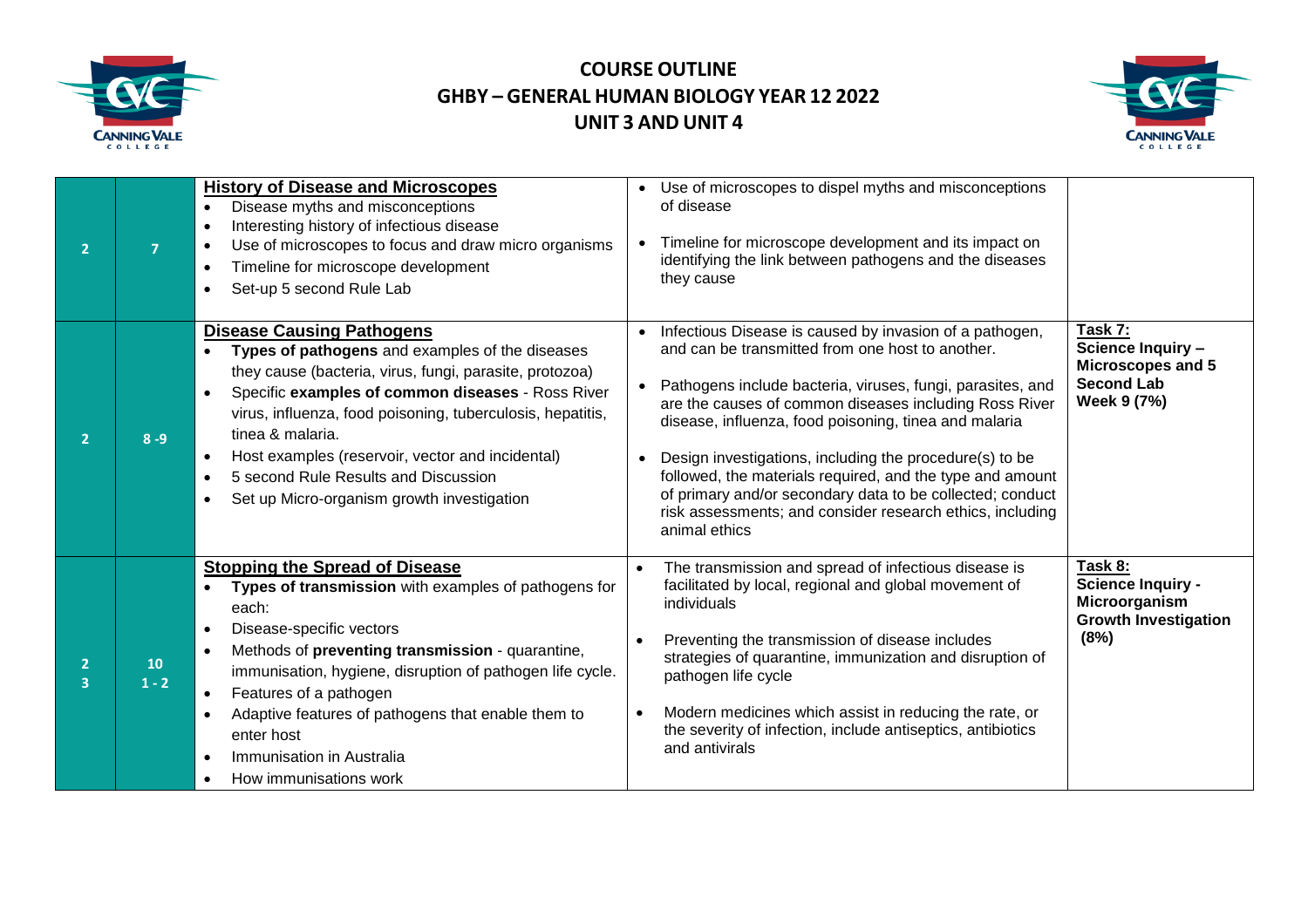



| $\overline{2}$ |               | <b>History of Disease and Microscopes</b><br>Disease myths and misconceptions<br>$\bullet$<br>Interesting history of infectious disease<br>$\bullet$<br>Use of microscopes to focus and draw micro organisms<br>$\bullet$<br>Timeline for microscope development<br>$\bullet$<br>Set-up 5 second Rule Lab<br>$\bullet$                                                                                                                                                                           | Use of microscopes to dispel myths and misconceptions<br>of disease<br>Timeline for microscope development and its impact on<br>identifying the link between pathogens and the diseases<br>they cause                                                                                                                                                                                                                                                                                                                                                                        |                                                                                             |
|----------------|---------------|--------------------------------------------------------------------------------------------------------------------------------------------------------------------------------------------------------------------------------------------------------------------------------------------------------------------------------------------------------------------------------------------------------------------------------------------------------------------------------------------------|------------------------------------------------------------------------------------------------------------------------------------------------------------------------------------------------------------------------------------------------------------------------------------------------------------------------------------------------------------------------------------------------------------------------------------------------------------------------------------------------------------------------------------------------------------------------------|---------------------------------------------------------------------------------------------|
| $\mathbf{2}$   | $8 - 9$       | <b>Disease Causing Pathogens</b><br>Types of pathogens and examples of the diseases<br>$\bullet$<br>they cause (bacteria, virus, fungi, parasite, protozoa)<br>Specific examples of common diseases - Ross River<br>$\bullet$<br>virus, influenza, food poisoning, tuberculosis, hepatitis,<br>tinea & malaria.<br>Host examples (reservoir, vector and incidental)<br>$\bullet$<br>5 second Rule Results and Discussion<br>$\bullet$<br>Set up Micro-organism growth investigation<br>$\bullet$ | Infectious Disease is caused by invasion of a pathogen,<br>$\bullet$<br>and can be transmitted from one host to another.<br>Pathogens include bacteria, viruses, fungi, parasites, and<br>are the causes of common diseases including Ross River<br>disease, influenza, food poisoning, tinea and malaria<br>Design investigations, including the procedure(s) to be<br>followed, the materials required, and the type and amount<br>of primary and/or secondary data to be collected; conduct<br>risk assessments; and consider research ethics, including<br>animal ethics | Task 7:<br>Science Inquiry -<br>Microscopes and 5<br><b>Second Lab</b><br>Week 9 (7%)       |
| з              | 10<br>$1 - 2$ | <b>Stopping the Spread of Disease</b><br>Types of transmission with examples of pathogens for<br>each:<br>Disease-specific vectors<br>$\bullet$<br>Methods of preventing transmission - quarantine,<br>$\bullet$<br>immunisation, hygiene, disruption of pathogen life cycle.<br>Features of a pathogen<br>$\bullet$<br>Adaptive features of pathogens that enable them to<br>$\bullet$<br>enter host<br>Immunisation in Australia<br>$\bullet$<br>How immunisations work<br>$\bullet$           | The transmission and spread of infectious disease is<br>$\bullet$<br>facilitated by local, regional and global movement of<br>individuals<br>Preventing the transmission of disease includes<br>$\bullet$<br>strategies of quarantine, immunization and disruption of<br>pathogen life cycle<br>Modern medicines which assist in reducing the rate, or<br>$\bullet$<br>the severity of infection, include antiseptics, antibiotics<br>and antivirals                                                                                                                         | Task 8:<br><b>Science Inquiry -</b><br>Microorganism<br><b>Growth Investigation</b><br>(8%) |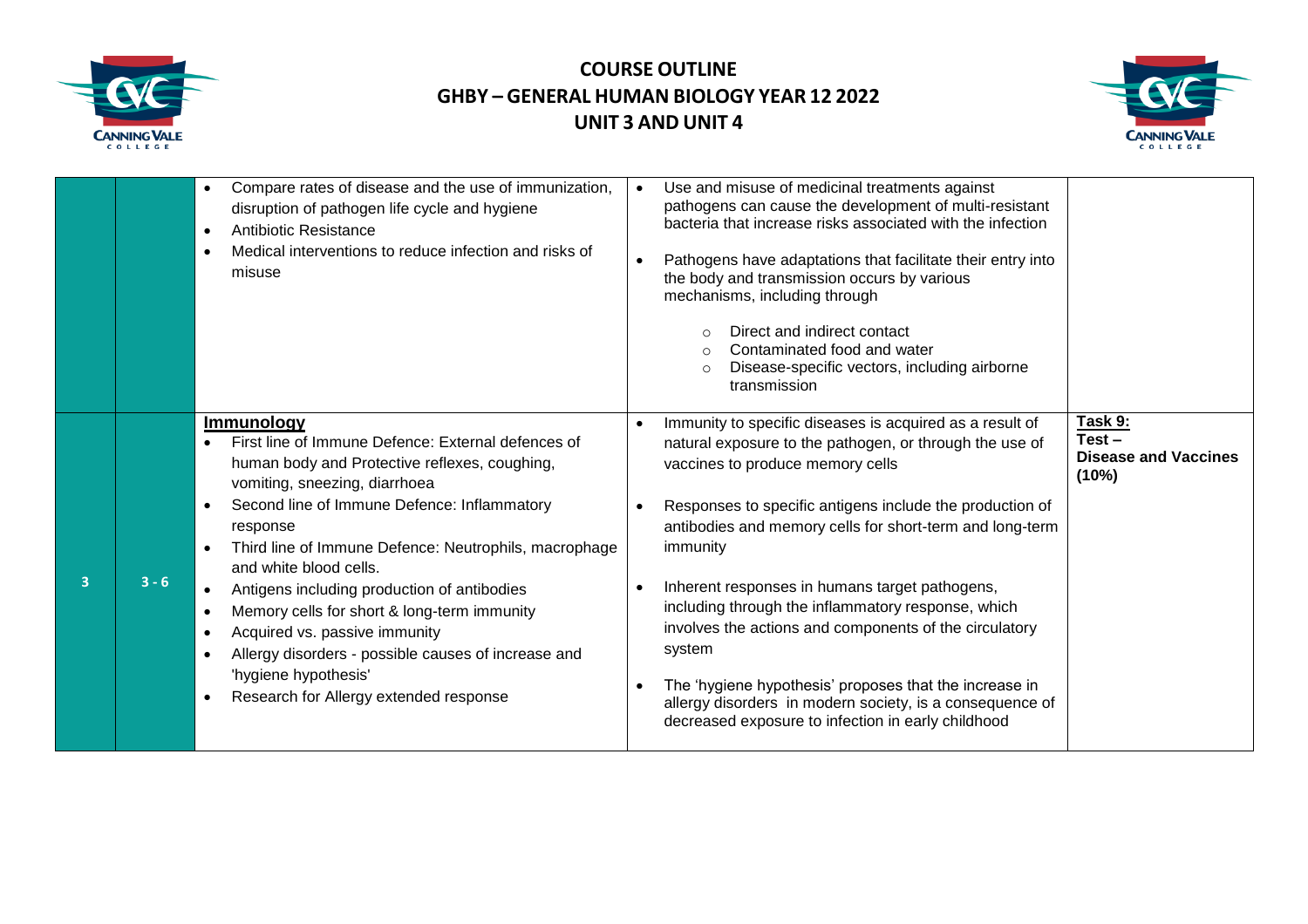



|                         |         | Compare rates of disease and the use of immunization,<br>$\bullet$<br>disruption of pathogen life cycle and hygiene<br>Antibiotic Resistance<br>$\bullet$<br>Medical interventions to reduce infection and risks of<br>$\bullet$<br>misuse                                                                                                                                                                                                                                                                                                                                                                                       | Use and misuse of medicinal treatments against<br>$\bullet$<br>pathogens can cause the development of multi-resistant<br>bacteria that increase risks associated with the infection<br>Pathogens have adaptations that facilitate their entry into<br>the body and transmission occurs by various<br>mechanisms, including through<br>Direct and indirect contact<br>Contaminated food and water<br>Disease-specific vectors, including airborne<br>$\Omega$<br>transmission                                                                                                                                                                                     |                                                             |
|-------------------------|---------|----------------------------------------------------------------------------------------------------------------------------------------------------------------------------------------------------------------------------------------------------------------------------------------------------------------------------------------------------------------------------------------------------------------------------------------------------------------------------------------------------------------------------------------------------------------------------------------------------------------------------------|------------------------------------------------------------------------------------------------------------------------------------------------------------------------------------------------------------------------------------------------------------------------------------------------------------------------------------------------------------------------------------------------------------------------------------------------------------------------------------------------------------------------------------------------------------------------------------------------------------------------------------------------------------------|-------------------------------------------------------------|
| $\overline{\mathbf{3}}$ | $3 - 6$ | <b>Immunology</b><br>First line of Immune Defence: External defences of<br>human body and Protective reflexes, coughing,<br>vomiting, sneezing, diarrhoea<br>Second line of Immune Defence: Inflammatory<br>response<br>Third line of Immune Defence: Neutrophils, macrophage<br>and white blood cells.<br>Antigens including production of antibodies<br>$\bullet$<br>Memory cells for short & long-term immunity<br>$\bullet$<br>Acquired vs. passive immunity<br>$\bullet$<br>Allergy disorders - possible causes of increase and<br>$\bullet$<br>'hygiene hypothesis'<br>Research for Allergy extended response<br>$\bullet$ | Immunity to specific diseases is acquired as a result of<br>$\bullet$<br>natural exposure to the pathogen, or through the use of<br>vaccines to produce memory cells<br>Responses to specific antigens include the production of<br>antibodies and memory cells for short-term and long-term<br>immunity<br>Inherent responses in humans target pathogens,<br>including through the inflammatory response, which<br>involves the actions and components of the circulatory<br>system<br>The 'hygiene hypothesis' proposes that the increase in<br>allergy disorders in modern society, is a consequence of<br>decreased exposure to infection in early childhood | Task 9:<br>$Test -$<br><b>Disease and Vaccines</b><br>(10%) |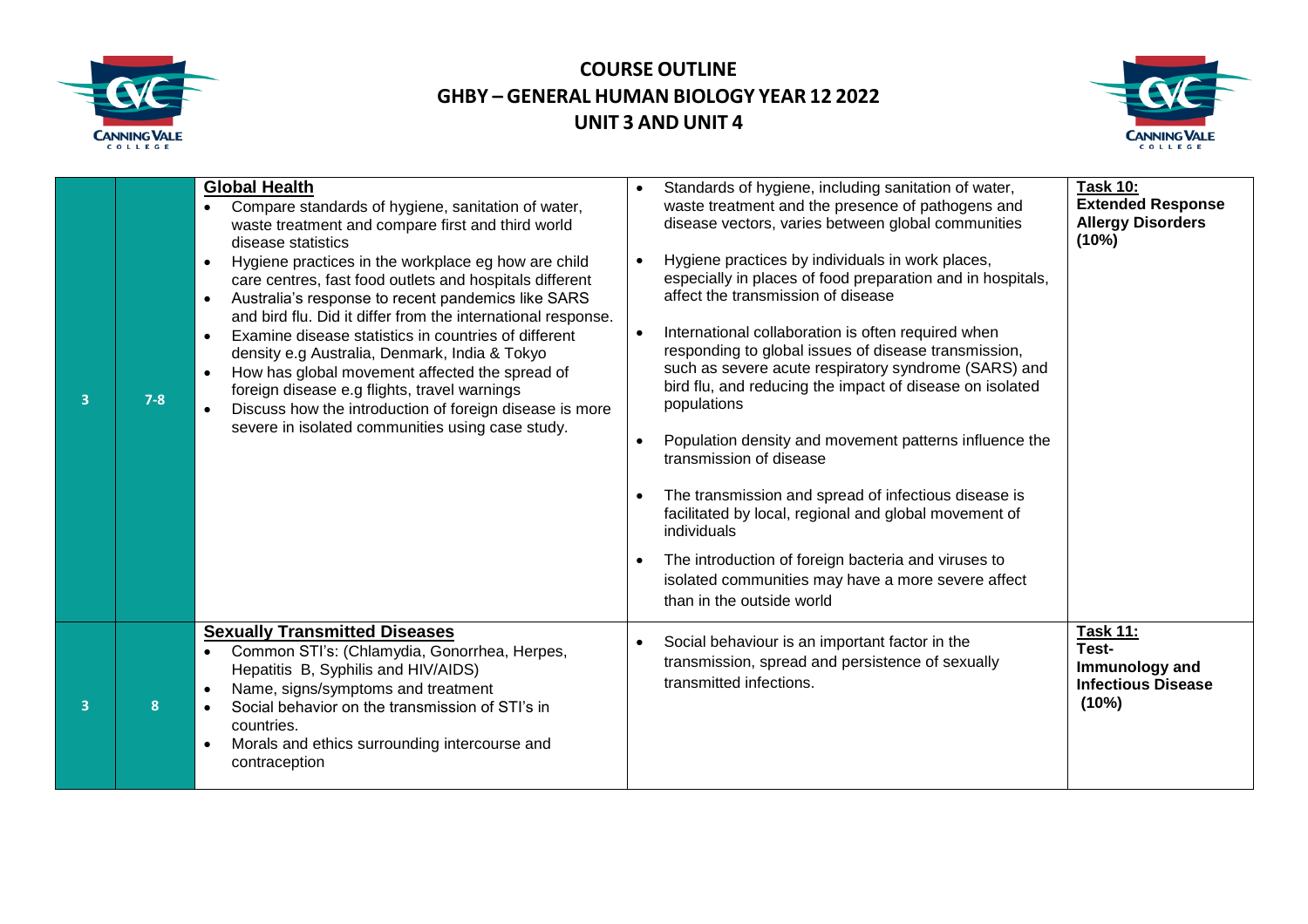



| 3                       | $7 - 8$ | <b>Global Health</b><br>Compare standards of hygiene, sanitation of water,<br>waste treatment and compare first and third world<br>disease statistics<br>Hygiene practices in the workplace eg how are child<br>care centres, fast food outlets and hospitals different<br>Australia's response to recent pandemics like SARS<br>and bird flu. Did it differ from the international response.<br>Examine disease statistics in countries of different<br>$\bullet$<br>density e.g Australia, Denmark, India & Tokyo<br>How has global movement affected the spread of<br>foreign disease e.g flights, travel warnings<br>Discuss how the introduction of foreign disease is more<br>severe in isolated communities using case study. | Standards of hygiene, including sanitation of water,<br>waste treatment and the presence of pathogens and<br>disease vectors, varies between global communities<br>Hygiene practices by individuals in work places,<br>$\bullet$<br>especially in places of food preparation and in hospitals,<br>affect the transmission of disease<br>International collaboration is often required when<br>$\bullet$<br>responding to global issues of disease transmission,<br>such as severe acute respiratory syndrome (SARS) and<br>bird flu, and reducing the impact of disease on isolated<br>populations<br>Population density and movement patterns influence the<br>transmission of disease<br>The transmission and spread of infectious disease is<br>facilitated by local, regional and global movement of<br>individuals<br>The introduction of foreign bacteria and viruses to<br>isolated communities may have a more severe affect<br>than in the outside world | <b>Task 10:</b><br><b>Extended Response</b><br><b>Allergy Disorders</b><br>(10%) |
|-------------------------|---------|--------------------------------------------------------------------------------------------------------------------------------------------------------------------------------------------------------------------------------------------------------------------------------------------------------------------------------------------------------------------------------------------------------------------------------------------------------------------------------------------------------------------------------------------------------------------------------------------------------------------------------------------------------------------------------------------------------------------------------------|-------------------------------------------------------------------------------------------------------------------------------------------------------------------------------------------------------------------------------------------------------------------------------------------------------------------------------------------------------------------------------------------------------------------------------------------------------------------------------------------------------------------------------------------------------------------------------------------------------------------------------------------------------------------------------------------------------------------------------------------------------------------------------------------------------------------------------------------------------------------------------------------------------------------------------------------------------------------|----------------------------------------------------------------------------------|
| $\overline{\mathbf{3}}$ | 8       | <b>Sexually Transmitted Diseases</b><br>Common STI's: (Chlamydia, Gonorrhea, Herpes,<br>Hepatitis B, Syphilis and HIV/AIDS)<br>Name, signs/symptoms and treatment<br>Social behavior on the transmission of STI's in<br>countries.<br>Morals and ethics surrounding intercourse and<br>contraception                                                                                                                                                                                                                                                                                                                                                                                                                                 | Social behaviour is an important factor in the<br>$\bullet$<br>transmission, spread and persistence of sexually<br>transmitted infections.                                                                                                                                                                                                                                                                                                                                                                                                                                                                                                                                                                                                                                                                                                                                                                                                                        | <b>Task 11:</b><br>Test-<br>Immunology and<br><b>Infectious Disease</b><br>(10%) |